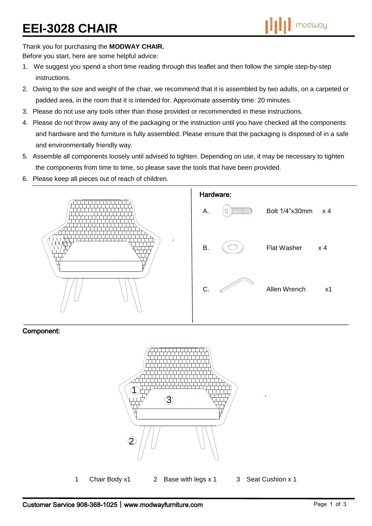# **EEI-3028 CHAIR**

Thank you for purchasing the **MODWAY CHAIR.**

Before you start, here are some helpful advice:

- 1. We suggest you spend a short time reading through this leaflet and then follow the simple step-by-step instructions.
- 2. Owing to the size and weight of the chair, we recommend that it is assembled by two adults, on a carpeted or padded area, in the room that it is intended for. Approximate assembly time: 20 minutes.
- 3. Please do not use any tools other than those provided or recommended in these instructions.
- 4. Please do not throw away any of the packaging or the instruction until you have checked all the components and hardware and the furniture is fully assembled. Please ensure that the packaging is disposed of in a safe and environmentally friendly way.
- 5. Assemble all components loosely until advised to tighten. Depending on use, it may be necessary to tighten the components from time to time, so please save the tools that have been provided.
- 6. Please keep all pieces out of reach of children.



#### Component:



1 Chair Body x1 2 Base with legs x 1 3 Seat Cushion x 1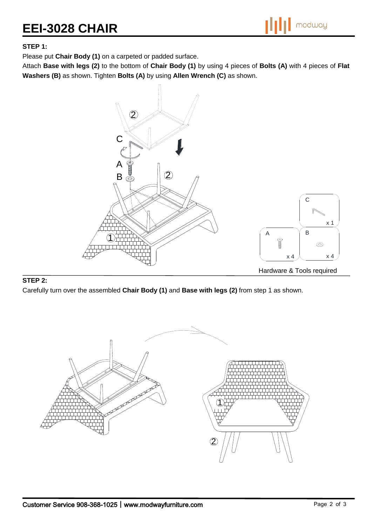## **EEI-3028 CHAIR**



#### **STEP 1:**

Please put **Chair Body (1)** on a carpeted or padded surface.

Attach **Base with legs (2)** to the bottom of **Chair Body (1)** by using 4 pieces of **Bolts (A)** with 4 pieces of **Flat Washers (B)** as shown. Tighten **Bolts (A)** by using **Allen Wrench (C)** as shown.



#### **STEP 2:**

Carefully turn over the assembled **Chair Body (1)** and **Base with legs (2)** from step 1 as shown.